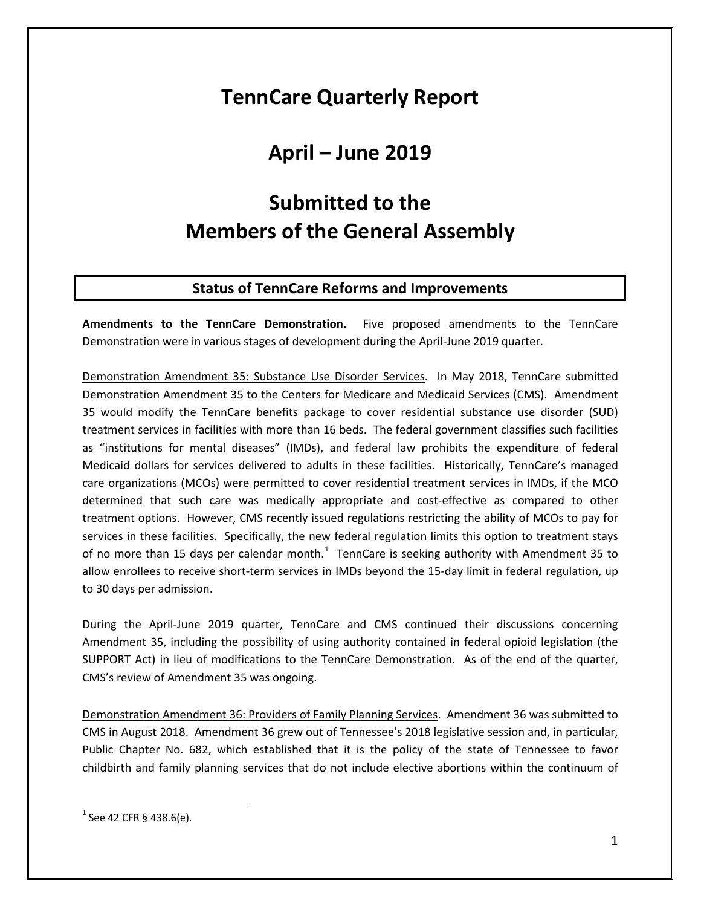## **TennCare Quarterly Report**

# **April – June 2019**

# **Submitted to the Members of the General Assembly**

## **Status of TennCare Reforms and Improvements**

**Amendments to the TennCare Demonstration.** Five proposed amendments to the TennCare Demonstration were in various stages of development during the April-June 2019 quarter.

Demonstration Amendment 35: Substance Use Disorder Services. In May 2018, TennCare submitted Demonstration Amendment 35 to the Centers for Medicare and Medicaid Services (CMS). Amendment 35 would modify the TennCare benefits package to cover residential substance use disorder (SUD) treatment services in facilities with more than 16 beds. The federal government classifies such facilities as "institutions for mental diseases" (IMDs), and federal law prohibits the expenditure of federal Medicaid dollars for services delivered to adults in these facilities. Historically, TennCare's managed care organizations (MCOs) were permitted to cover residential treatment services in IMDs, if the MCO determined that such care was medically appropriate and cost-effective as compared to other treatment options. However, CMS recently issued regulations restricting the ability of MCOs to pay for services in these facilities. Specifically, the new federal regulation limits this option to treatment stays of no more than [1](#page-0-0)5 days per calendar month.<sup>1</sup> TennCare is seeking authority with Amendment 35 to allow enrollees to receive short-term services in IMDs beyond the 15-day limit in federal regulation, up to 30 days per admission.

During the April-June 2019 quarter, TennCare and CMS continued their discussions concerning Amendment 35, including the possibility of using authority contained in federal opioid legislation (the SUPPORT Act) in lieu of modifications to the TennCare Demonstration. As of the end of the quarter, CMS's review of Amendment 35 was ongoing.

Demonstration Amendment 36: Providers of Family Planning Services. Amendment 36 was submitted to CMS in August 2018. Amendment 36 grew out of Tennessee's 2018 legislative session and, in particular, Public Chapter No. 682, which established that it is the policy of the state of Tennessee to favor childbirth and family planning services that do not include elective abortions within the continuum of

<span id="page-0-0"></span> $1$  See 42 CFR § 438.6(e).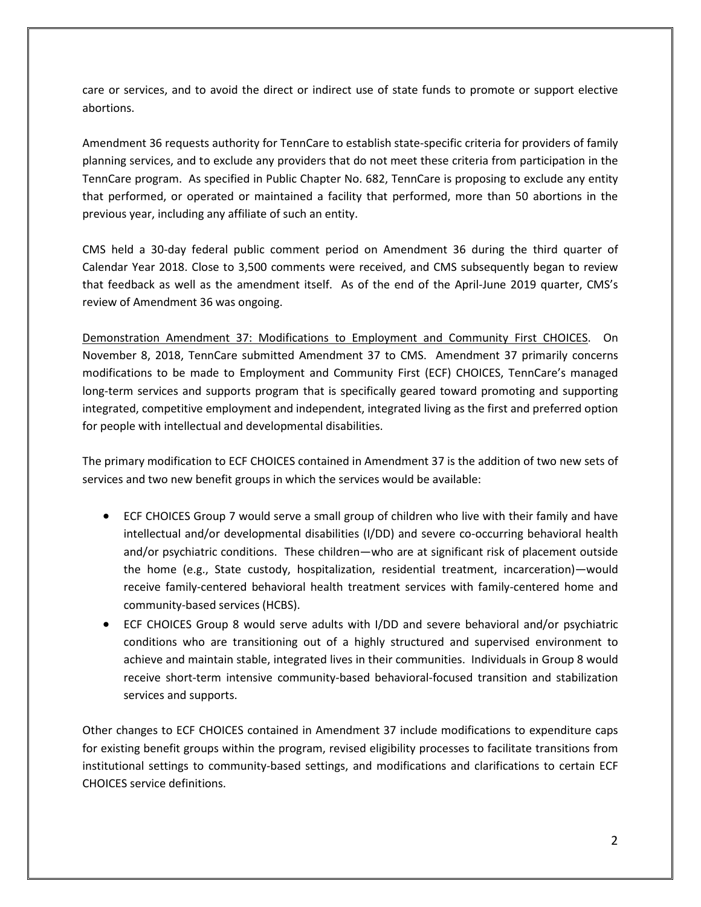care or services, and to avoid the direct or indirect use of state funds to promote or support elective abortions.

Amendment 36 requests authority for TennCare to establish state-specific criteria for providers of family planning services, and to exclude any providers that do not meet these criteria from participation in the TennCare program. As specified in Public Chapter No. 682, TennCare is proposing to exclude any entity that performed, or operated or maintained a facility that performed, more than 50 abortions in the previous year, including any affiliate of such an entity.

CMS held a 30-day federal public comment period on Amendment 36 during the third quarter of Calendar Year 2018. Close to 3,500 comments were received, and CMS subsequently began to review that feedback as well as the amendment itself. As of the end of the April-June 2019 quarter, CMS's review of Amendment 36 was ongoing.

Demonstration Amendment 37: Modifications to Employment and Community First CHOICES. On November 8, 2018, TennCare submitted Amendment 37 to CMS. Amendment 37 primarily concerns modifications to be made to Employment and Community First (ECF) CHOICES, TennCare's managed long-term services and supports program that is specifically geared toward promoting and supporting integrated, competitive employment and independent, integrated living as the first and preferred option for people with intellectual and developmental disabilities.

The primary modification to ECF CHOICES contained in Amendment 37 is the addition of two new sets of services and two new benefit groups in which the services would be available:

- ECF CHOICES Group 7 would serve a small group of children who live with their family and have intellectual and/or developmental disabilities (I/DD) and severe co-occurring behavioral health and/or psychiatric conditions. These children—who are at significant risk of placement outside the home (e.g., State custody, hospitalization, residential treatment, incarceration)—would receive family-centered behavioral health treatment services with family-centered home and community-based services (HCBS).
- ECF CHOICES Group 8 would serve adults with I/DD and severe behavioral and/or psychiatric conditions who are transitioning out of a highly structured and supervised environment to achieve and maintain stable, integrated lives in their communities. Individuals in Group 8 would receive short-term intensive community-based behavioral-focused transition and stabilization services and supports.

Other changes to ECF CHOICES contained in Amendment 37 include modifications to expenditure caps for existing benefit groups within the program, revised eligibility processes to facilitate transitions from institutional settings to community-based settings, and modifications and clarifications to certain ECF CHOICES service definitions.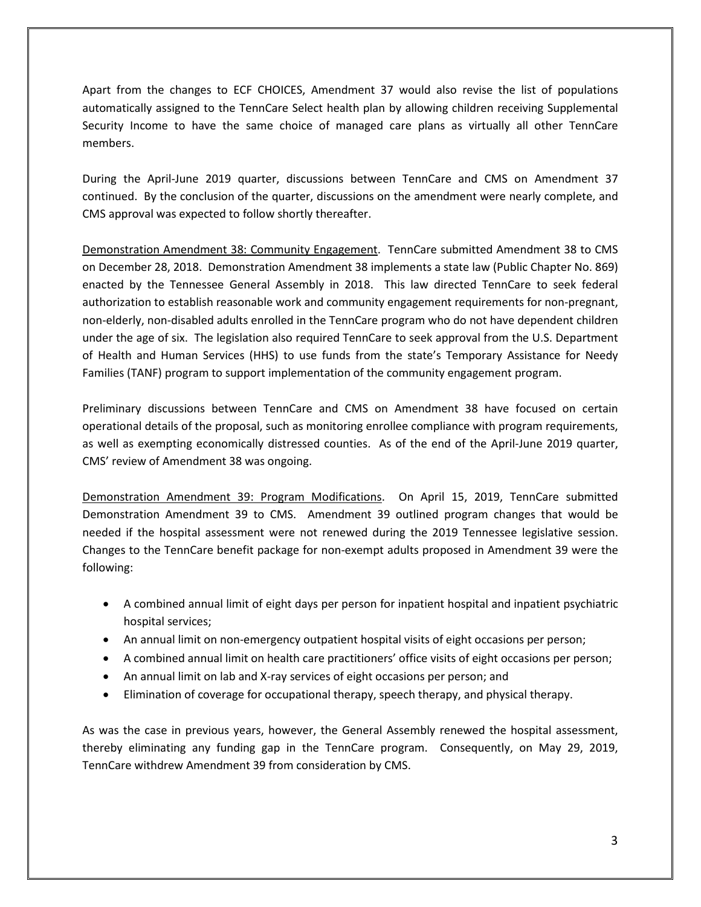Apart from the changes to ECF CHOICES, Amendment 37 would also revise the list of populations automatically assigned to the TennCare Select health plan by allowing children receiving Supplemental Security Income to have the same choice of managed care plans as virtually all other TennCare members.

During the April-June 2019 quarter, discussions between TennCare and CMS on Amendment 37 continued. By the conclusion of the quarter, discussions on the amendment were nearly complete, and CMS approval was expected to follow shortly thereafter.

Demonstration Amendment 38: Community Engagement. TennCare submitted Amendment 38 to CMS on December 28, 2018. Demonstration Amendment 38 implements a state law (Public Chapter No. 869) enacted by the Tennessee General Assembly in 2018. This law directed TennCare to seek federal authorization to establish reasonable work and community engagement requirements for non-pregnant, non-elderly, non-disabled adults enrolled in the TennCare program who do not have dependent children under the age of six. The legislation also required TennCare to seek approval from the U.S. Department of Health and Human Services (HHS) to use funds from the state's Temporary Assistance for Needy Families (TANF) program to support implementation of the community engagement program.

Preliminary discussions between TennCare and CMS on Amendment 38 have focused on certain operational details of the proposal, such as monitoring enrollee compliance with program requirements, as well as exempting economically distressed counties. As of the end of the April-June 2019 quarter, CMS' review of Amendment 38 was ongoing.

Demonstration Amendment 39: Program Modifications. On April 15, 2019, TennCare submitted Demonstration Amendment 39 to CMS. Amendment 39 outlined program changes that would be needed if the hospital assessment were not renewed during the 2019 Tennessee legislative session. Changes to the TennCare benefit package for non-exempt adults proposed in Amendment 39 were the following:

- A combined annual limit of eight days per person for inpatient hospital and inpatient psychiatric hospital services;
- An annual limit on non-emergency outpatient hospital visits of eight occasions per person;
- A combined annual limit on health care practitioners' office visits of eight occasions per person;
- An annual limit on lab and X-ray services of eight occasions per person; and
- Elimination of coverage for occupational therapy, speech therapy, and physical therapy.

As was the case in previous years, however, the General Assembly renewed the hospital assessment, thereby eliminating any funding gap in the TennCare program. Consequently, on May 29, 2019, TennCare withdrew Amendment 39 from consideration by CMS.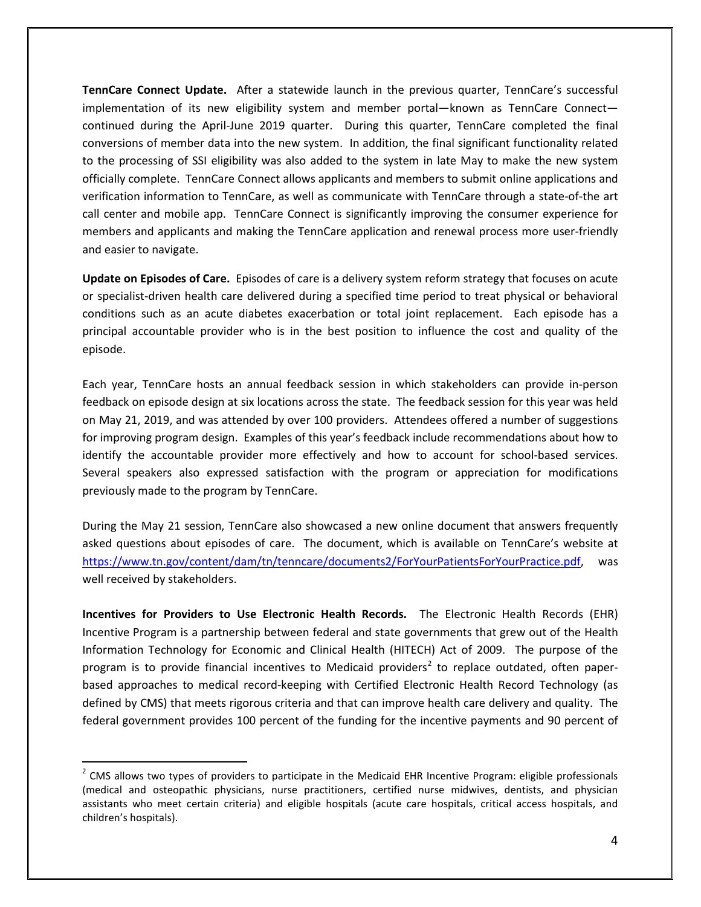**TennCare Connect Update.** After a statewide launch in the previous quarter, TennCare's successful implementation of its new eligibility system and member portal—known as TennCare Connect continued during the April-June 2019 quarter. During this quarter, TennCare completed the final conversions of member data into the new system. In addition, the final significant functionality related to the processing of SSI eligibility was also added to the system in late May to make the new system officially complete. TennCare Connect allows applicants and members to submit online applications and verification information to TennCare, as well as communicate with TennCare through a state-of-the art call center and mobile app. TennCare Connect is significantly improving the consumer experience for members and applicants and making the TennCare application and renewal process more user-friendly and easier to navigate.

**Update on Episodes of Care.** Episodes of care is a delivery system reform strategy that focuses on acute or specialist-driven health care delivered during a specified time period to treat physical or behavioral conditions such as an acute diabetes exacerbation or total joint replacement. Each episode has a principal accountable provider who is in the best position to influence the cost and quality of the episode.

Each year, TennCare hosts an annual feedback session in which stakeholders can provide in-person feedback on episode design at six locations across the state. The feedback session for this year was held on May 21, 2019, and was attended by over 100 providers. Attendees offered a number of suggestions for improving program design. Examples of this year's feedback include recommendations about how to identify the accountable provider more effectively and how to account for school-based services. Several speakers also expressed satisfaction with the program or appreciation for modifications previously made to the program by TennCare.

During the May 21 session, TennCare also showcased a new online document that answers frequently asked questions about episodes of care. The document, which is available on TennCare's website at [https://www.tn.gov/content/dam/tn/tenncare/documents2/ForYourPatientsForYourPractice.pdf,](https://www.tn.gov/content/dam/tn/tenncare/documents2/ForYourPatientsForYourPractice.pdf) was well received by stakeholders.

**Incentives for Providers to Use Electronic Health Records.** The Electronic Health Records (EHR) Incentive Program is a partnership between federal and state governments that grew out of the Health Information Technology for Economic and Clinical Health (HITECH) Act of 2009. The purpose of the program is to provide financial incentives to Medicaid providers<sup>[2](#page-3-0)</sup> to replace outdated, often paperbased approaches to medical record-keeping with Certified Electronic Health Record Technology (as defined by CMS) that meets rigorous criteria and that can improve health care delivery and quality. The federal government provides 100 percent of the funding for the incentive payments and 90 percent of

<span id="page-3-0"></span> $2$  CMS allows two types of providers to participate in the Medicaid EHR Incentive Program: eligible professionals (medical and osteopathic physicians, nurse practitioners, certified nurse midwives, dentists, and physician assistants who meet certain criteria) and eligible hospitals (acute care hospitals, critical access hospitals, and children's hospitals).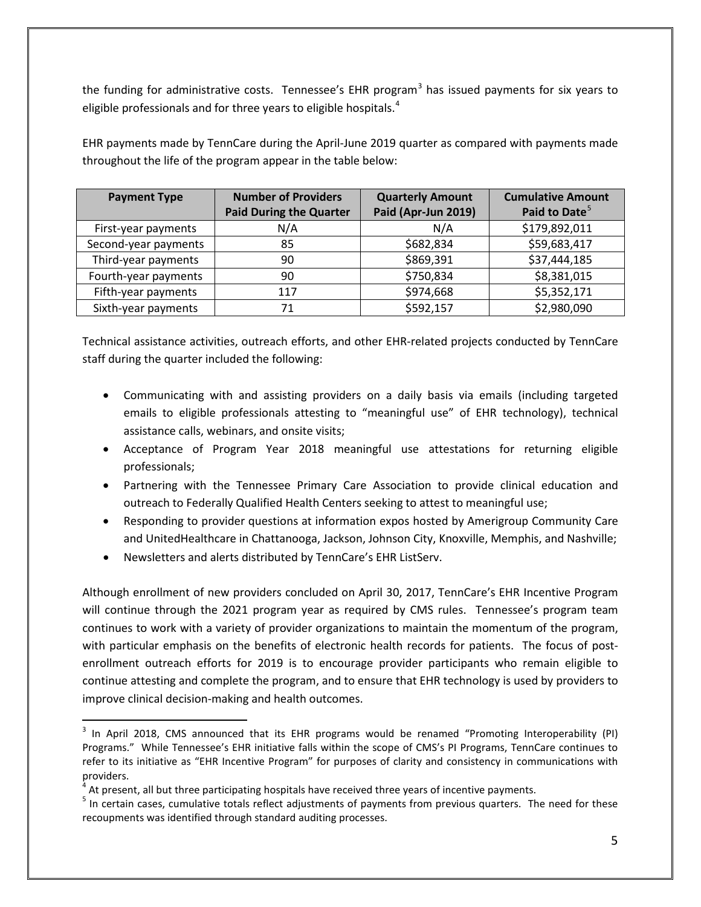the funding for administrative costs. Tennessee's EHR program<sup>[3](#page-4-0)</sup> has issued payments for six years to eligible professionals and for three years to eligible hospitals. $4$ 

| <b>Payment Type</b>  | <b>Number of Providers</b>     | <b>Quarterly Amount</b> | <b>Cumulative Amount</b>  |
|----------------------|--------------------------------|-------------------------|---------------------------|
|                      | <b>Paid During the Quarter</b> | Paid (Apr-Jun 2019)     | Paid to Date <sup>5</sup> |
| First-year payments  | N/A                            | N/A                     | \$179,892,011             |
| Second-year payments | 85                             | \$682,834               | \$59,683,417              |
| Third-year payments  | 90                             | \$869,391               | \$37,444,185              |
| Fourth-year payments | 90                             | \$750,834               | \$8,381,015               |
| Fifth-year payments  | 117                            | \$974,668               | \$5,352,171               |
| Sixth-year payments  | 71                             | \$592,157               | \$2,980,090               |

EHR payments made by TennCare during the April-June 2019 quarter as compared with payments made throughout the life of the program appear in the table below:

Technical assistance activities, outreach efforts, and other EHR-related projects conducted by TennCare staff during the quarter included the following:

- Communicating with and assisting providers on a daily basis via emails (including targeted emails to eligible professionals attesting to "meaningful use" of EHR technology), technical assistance calls, webinars, and onsite visits;
- Acceptance of Program Year 2018 meaningful use attestations for returning eligible professionals;
- Partnering with the Tennessee Primary Care Association to provide clinical education and outreach to Federally Qualified Health Centers seeking to attest to meaningful use;
- Responding to provider questions at information expos hosted by Amerigroup Community Care and UnitedHealthcare in Chattanooga, Jackson, Johnson City, Knoxville, Memphis, and Nashville;
- Newsletters and alerts distributed by TennCare's EHR ListServ.

 $\overline{a}$ 

Although enrollment of new providers concluded on April 30, 2017, TennCare's EHR Incentive Program will continue through the 2021 program year as required by CMS rules. Tennessee's program team continues to work with a variety of provider organizations to maintain the momentum of the program, with particular emphasis on the benefits of electronic health records for patients. The focus of postenrollment outreach efforts for 2019 is to encourage provider participants who remain eligible to continue attesting and complete the program, and to ensure that EHR technology is used by providers to improve clinical decision-making and health outcomes.

<span id="page-4-0"></span><sup>&</sup>lt;sup>3</sup> In April 2018, CMS announced that its EHR programs would be renamed "Promoting Interoperability (PI) Programs." While Tennessee's EHR initiative falls within the scope of CMS's PI Programs, TennCare continues to refer to its initiative as "EHR Incentive Program" for purposes of clarity and consistency in communications with providers.

<span id="page-4-2"></span><span id="page-4-1"></span> $^4$  At present, all but three participating hospitals have received three years of incentive payments.<br><sup>5</sup> In certain cases, cumulative totals reflect adjustments of payments from previous quarters. The need for these recoupments was identified through standard auditing processes.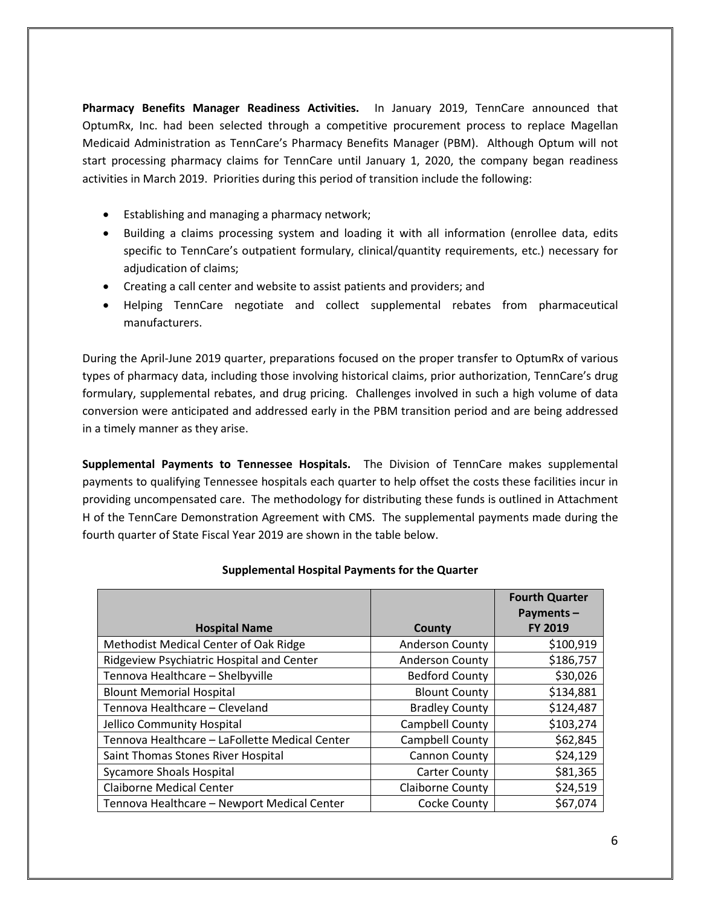**Pharmacy Benefits Manager Readiness Activities.** In January 2019, TennCare announced that OptumRx, Inc. had been selected through a competitive procurement process to replace Magellan Medicaid Administration as TennCare's Pharmacy Benefits Manager (PBM). Although Optum will not start processing pharmacy claims for TennCare until January 1, 2020, the company began readiness activities in March 2019. Priorities during this period of transition include the following:

- Establishing and managing a pharmacy network;
- Building a claims processing system and loading it with all information (enrollee data, edits specific to TennCare's outpatient formulary, clinical/quantity requirements, etc.) necessary for adjudication of claims;
- Creating a call center and website to assist patients and providers; and
- Helping TennCare negotiate and collect supplemental rebates from pharmaceutical manufacturers.

During the April-June 2019 quarter, preparations focused on the proper transfer to OptumRx of various types of pharmacy data, including those involving historical claims, prior authorization, TennCare's drug formulary, supplemental rebates, and drug pricing. Challenges involved in such a high volume of data conversion were anticipated and addressed early in the PBM transition period and are being addressed in a timely manner as they arise.

**Supplemental Payments to Tennessee Hospitals.** The Division of TennCare makes supplemental payments to qualifying Tennessee hospitals each quarter to help offset the costs these facilities incur in providing uncompensated care. The methodology for distributing these funds is outlined in Attachment H of the TennCare Demonstration Agreement with CMS. The supplemental payments made during the fourth quarter of State Fiscal Year 2019 are shown in the table below.

| <b>Hospital Name</b>                           | County                  | <b>Fourth Quarter</b><br>Payments-<br><b>FY 2019</b> |
|------------------------------------------------|-------------------------|------------------------------------------------------|
|                                                |                         |                                                      |
| Methodist Medical Center of Oak Ridge          | <b>Anderson County</b>  | \$100,919                                            |
| Ridgeview Psychiatric Hospital and Center      | <b>Anderson County</b>  | \$186,757                                            |
| Tennova Healthcare - Shelbyville               | <b>Bedford County</b>   | \$30,026                                             |
| <b>Blount Memorial Hospital</b>                | <b>Blount County</b>    | \$134,881                                            |
| Tennova Healthcare - Cleveland                 | <b>Bradley County</b>   | \$124,487                                            |
| Jellico Community Hospital                     | Campbell County         | \$103,274                                            |
| Tennova Healthcare - LaFollette Medical Center | Campbell County         | \$62,845                                             |
| Saint Thomas Stones River Hospital             | Cannon County           | \$24,129                                             |
| <b>Sycamore Shoals Hospital</b>                | <b>Carter County</b>    | \$81,365                                             |
| <b>Claiborne Medical Center</b>                | <b>Claiborne County</b> | \$24,519                                             |
| Tennova Healthcare - Newport Medical Center    | Cocke County            | \$67,074                                             |

#### **Supplemental Hospital Payments for the Quarter**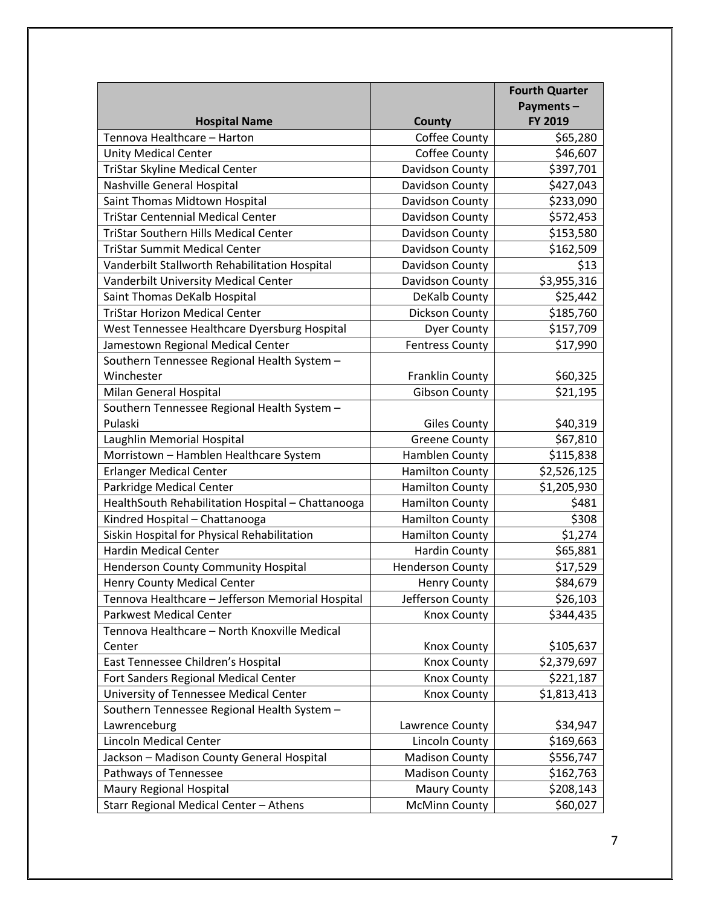|                                                   |                         | <b>Fourth Quarter</b> |
|---------------------------------------------------|-------------------------|-----------------------|
|                                                   |                         | Payments-             |
| <b>Hospital Name</b>                              | <b>County</b>           | FY 2019               |
| Tennova Healthcare - Harton                       | Coffee County           | \$65,280              |
| <b>Unity Medical Center</b>                       | Coffee County           | \$46,607              |
| TriStar Skyline Medical Center                    | Davidson County         | \$397,701             |
| Nashville General Hospital                        | Davidson County         | \$427,043             |
| Saint Thomas Midtown Hospital                     | Davidson County         | \$233,090             |
| <b>TriStar Centennial Medical Center</b>          | Davidson County         | \$572,453             |
| <b>TriStar Southern Hills Medical Center</b>      | Davidson County         | \$153,580             |
| <b>TriStar Summit Medical Center</b>              | Davidson County         | \$162,509             |
| Vanderbilt Stallworth Rehabilitation Hospital     | Davidson County         | \$13                  |
| Vanderbilt University Medical Center              | Davidson County         | \$3,955,316           |
| Saint Thomas DeKalb Hospital                      | DeKalb County           | \$25,442              |
| <b>TriStar Horizon Medical Center</b>             | Dickson County          | \$185,760             |
| West Tennessee Healthcare Dyersburg Hospital      | <b>Dyer County</b>      | \$157,709             |
| Jamestown Regional Medical Center                 | <b>Fentress County</b>  | \$17,990              |
| Southern Tennessee Regional Health System -       |                         |                       |
| Winchester                                        | <b>Franklin County</b>  | \$60,325              |
| Milan General Hospital                            | <b>Gibson County</b>    | \$21,195              |
| Southern Tennessee Regional Health System -       |                         |                       |
| Pulaski                                           | <b>Giles County</b>     | \$40,319              |
| Laughlin Memorial Hospital                        | <b>Greene County</b>    | \$67,810              |
| Morristown - Hamblen Healthcare System            | Hamblen County          | \$115,838             |
| <b>Erlanger Medical Center</b>                    | <b>Hamilton County</b>  | \$2,526,125           |
| Parkridge Medical Center                          | <b>Hamilton County</b>  | \$1,205,930           |
| HealthSouth Rehabilitation Hospital - Chattanooga | <b>Hamilton County</b>  | \$481                 |
| Kindred Hospital - Chattanooga                    | <b>Hamilton County</b>  | \$308                 |
| Siskin Hospital for Physical Rehabilitation       | <b>Hamilton County</b>  | \$1,274               |
| <b>Hardin Medical Center</b>                      | <b>Hardin County</b>    | \$65,881              |
| <b>Henderson County Community Hospital</b>        | <b>Henderson County</b> | \$17,529              |
| Henry County Medical Center                       | <b>Henry County</b>     | \$84,679              |
| Tennova Healthcare - Jefferson Memorial Hospital  | Jefferson County        | \$26,103              |
| <b>Parkwest Medical Center</b>                    | <b>Knox County</b>      | \$344,435             |
| Tennova Healthcare - North Knoxville Medical      |                         |                       |
| Center                                            | Knox County             | \$105,637             |
| East Tennessee Children's Hospital                | Knox County             | \$2,379,697           |
| Fort Sanders Regional Medical Center              | <b>Knox County</b>      | \$221,187             |
| University of Tennessee Medical Center            | <b>Knox County</b>      | \$1,813,413           |
| Southern Tennessee Regional Health System -       |                         |                       |
| Lawrenceburg                                      | Lawrence County         | \$34,947              |
| <b>Lincoln Medical Center</b>                     | Lincoln County          | \$169,663             |
| Jackson - Madison County General Hospital         | <b>Madison County</b>   | \$556,747             |
| Pathways of Tennessee                             | <b>Madison County</b>   | \$162,763             |
| Maury Regional Hospital                           | <b>Maury County</b>     | \$208,143             |
| Starr Regional Medical Center - Athens            | <b>McMinn County</b>    | \$60,027              |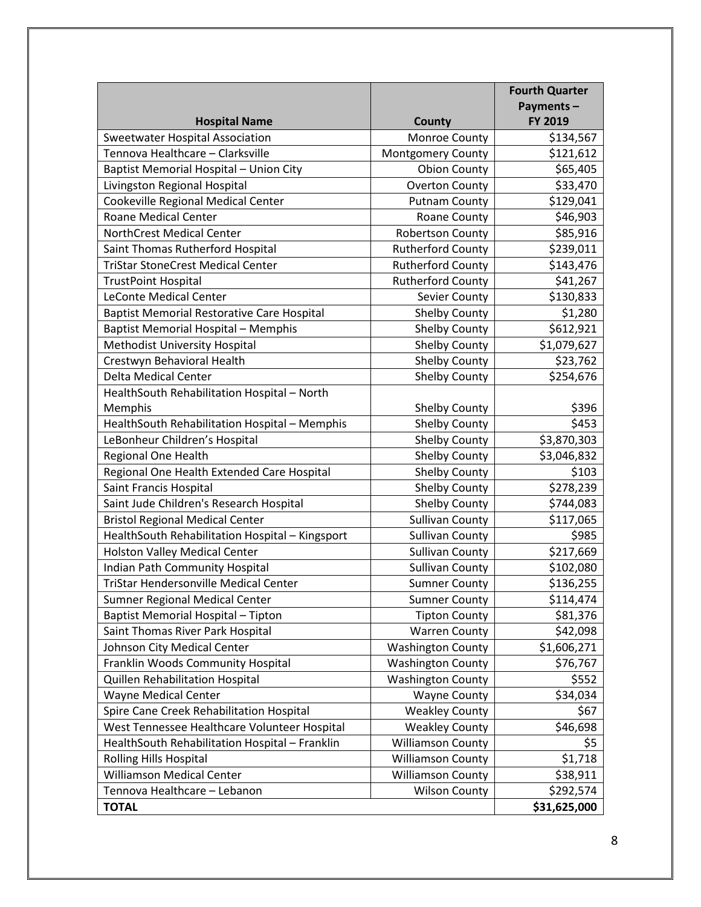|                                                   |                          | <b>Fourth Quarter</b> |
|---------------------------------------------------|--------------------------|-----------------------|
|                                                   |                          | Payments-             |
| <b>Hospital Name</b>                              | <b>County</b>            | FY 2019               |
| Sweetwater Hospital Association                   | Monroe County            | \$134,567             |
| Tennova Healthcare - Clarksville                  | Montgomery County        | \$121,612             |
| Baptist Memorial Hospital - Union City            | <b>Obion County</b>      | \$65,405              |
| Livingston Regional Hospital                      | <b>Overton County</b>    | \$33,470              |
| Cookeville Regional Medical Center                | <b>Putnam County</b>     | \$129,041             |
| Roane Medical Center                              | <b>Roane County</b>      | \$46,903              |
| <b>NorthCrest Medical Center</b>                  | <b>Robertson County</b>  | \$85,916              |
| Saint Thomas Rutherford Hospital                  | <b>Rutherford County</b> | \$239,011             |
| <b>TriStar StoneCrest Medical Center</b>          | <b>Rutherford County</b> | \$143,476             |
| <b>TrustPoint Hospital</b>                        | <b>Rutherford County</b> | \$41,267              |
| <b>LeConte Medical Center</b>                     | Sevier County            | \$130,833             |
| <b>Baptist Memorial Restorative Care Hospital</b> | Shelby County            | \$1,280               |
| <b>Baptist Memorial Hospital - Memphis</b>        | <b>Shelby County</b>     | \$612,921             |
| Methodist University Hospital                     | <b>Shelby County</b>     | \$1,079,627           |
| Crestwyn Behavioral Health                        | <b>Shelby County</b>     | \$23,762              |
| Delta Medical Center                              | <b>Shelby County</b>     | \$254,676             |
| HealthSouth Rehabilitation Hospital - North       |                          |                       |
| Memphis                                           | <b>Shelby County</b>     | \$396                 |
| HealthSouth Rehabilitation Hospital - Memphis     | Shelby County            | \$453                 |
| LeBonheur Children's Hospital                     | <b>Shelby County</b>     | \$3,870,303           |
| Regional One Health                               | <b>Shelby County</b>     | \$3,046,832           |
| Regional One Health Extended Care Hospital        | Shelby County            | \$103                 |
| Saint Francis Hospital                            | <b>Shelby County</b>     | \$278,239             |
| Saint Jude Children's Research Hospital           | <b>Shelby County</b>     | \$744,083             |
| <b>Bristol Regional Medical Center</b>            | <b>Sullivan County</b>   | \$117,065             |
| HealthSouth Rehabilitation Hospital - Kingsport   | <b>Sullivan County</b>   | \$985                 |
| <b>Holston Valley Medical Center</b>              | <b>Sullivan County</b>   | \$217,669             |
| Indian Path Community Hospital                    | <b>Sullivan County</b>   | \$102,080             |
| <b>TriStar Hendersonville Medical Center</b>      | <b>Sumner County</b>     | \$136,255             |
| Sumner Regional Medical Center                    | <b>Sumner County</b>     | \$114,474             |
| Baptist Memorial Hospital - Tipton                | <b>Tipton County</b>     | \$81,376              |
| Saint Thomas River Park Hospital                  | <b>Warren County</b>     | \$42,098              |
| Johnson City Medical Center                       | <b>Washington County</b> | \$1,606,271           |
| Franklin Woods Community Hospital                 | <b>Washington County</b> | \$76,767              |
| Quillen Rehabilitation Hospital                   | <b>Washington County</b> | \$552                 |
| Wayne Medical Center                              | <b>Wayne County</b>      | \$34,034              |
| Spire Cane Creek Rehabilitation Hospital          | <b>Weakley County</b>    | \$67                  |
| West Tennessee Healthcare Volunteer Hospital      | <b>Weakley County</b>    | \$46,698              |
| HealthSouth Rehabilitation Hospital - Franklin    | <b>Williamson County</b> | \$5                   |
| <b>Rolling Hills Hospital</b>                     | <b>Williamson County</b> | \$1,718               |
| Williamson Medical Center                         | <b>Williamson County</b> | \$38,911              |
| Tennova Healthcare - Lebanon                      | <b>Wilson County</b>     | \$292,574             |
| <b>TOTAL</b>                                      |                          | \$31,625,000          |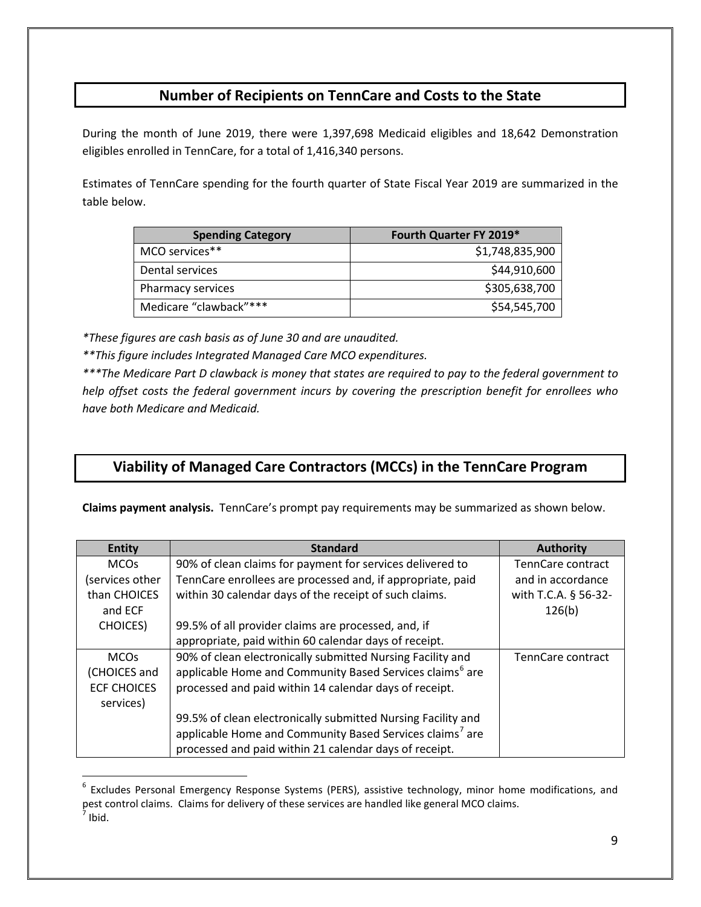## **Number of Recipients on TennCare and Costs to the State**

During the month of June 2019, there were 1,397,698 Medicaid eligibles and 18,642 Demonstration eligibles enrolled in TennCare, for a total of 1,416,340 persons.

Estimates of TennCare spending for the fourth quarter of State Fiscal Year 2019 are summarized in the table below.

| <b>Spending Category</b> | Fourth Quarter FY 2019* |
|--------------------------|-------------------------|
| MCO services**           | \$1,748,835,900         |
| Dental services          | \$44,910,600            |
| Pharmacy services        | \$305,638,700           |
| Medicare "clawback"***   | \$54,545,700            |

*\*These figures are cash basis as of June 30 and are unaudited.*

 $\overline{a}$ 

*\*\*This figure includes Integrated Managed Care MCO expenditures.*

*\*\*\*The Medicare Part D clawback is money that states are required to pay to the federal government to help offset costs the federal government incurs by covering the prescription benefit for enrollees who have both Medicare and Medicaid.*

## **Viability of Managed Care Contractors (MCCs) in the TennCare Program**

**Claims payment analysis.** TennCare's prompt pay requirements may be summarized as shown below.

| <b>Entity</b>      | <b>Standard</b>                                                      | <b>Authority</b>     |
|--------------------|----------------------------------------------------------------------|----------------------|
| <b>MCOs</b>        | 90% of clean claims for payment for services delivered to            | TennCare contract    |
| services other     | TennCare enrollees are processed and, if appropriate, paid           | and in accordance    |
| than CHOICES       | within 30 calendar days of the receipt of such claims.               | with T.C.A. § 56-32- |
| and ECF            |                                                                      | 126(b)               |
| <b>CHOICES</b> )   | 99.5% of all provider claims are processed, and, if                  |                      |
|                    | appropriate, paid within 60 calendar days of receipt.                |                      |
| <b>MCOs</b>        | 90% of clean electronically submitted Nursing Facility and           | TennCare contract    |
| (CHOICES and       | applicable Home and Community Based Services claims <sup>6</sup> are |                      |
| <b>ECF CHOICES</b> | processed and paid within 14 calendar days of receipt.               |                      |
| services)          |                                                                      |                      |
|                    | 99.5% of clean electronically submitted Nursing Facility and         |                      |
|                    | applicable Home and Community Based Services claims <sup>7</sup> are |                      |
|                    | processed and paid within 21 calendar days of receipt.               |                      |

<span id="page-8-1"></span><span id="page-8-0"></span><sup>&</sup>lt;sup>6</sup> Excludes Personal Emergency Response Systems (PERS), assistive technology, minor home modifications, and pest control claims. Claims for delivery of these services are handled like general MCO claims.  $<sup>7</sup>$  Ibid.</sup>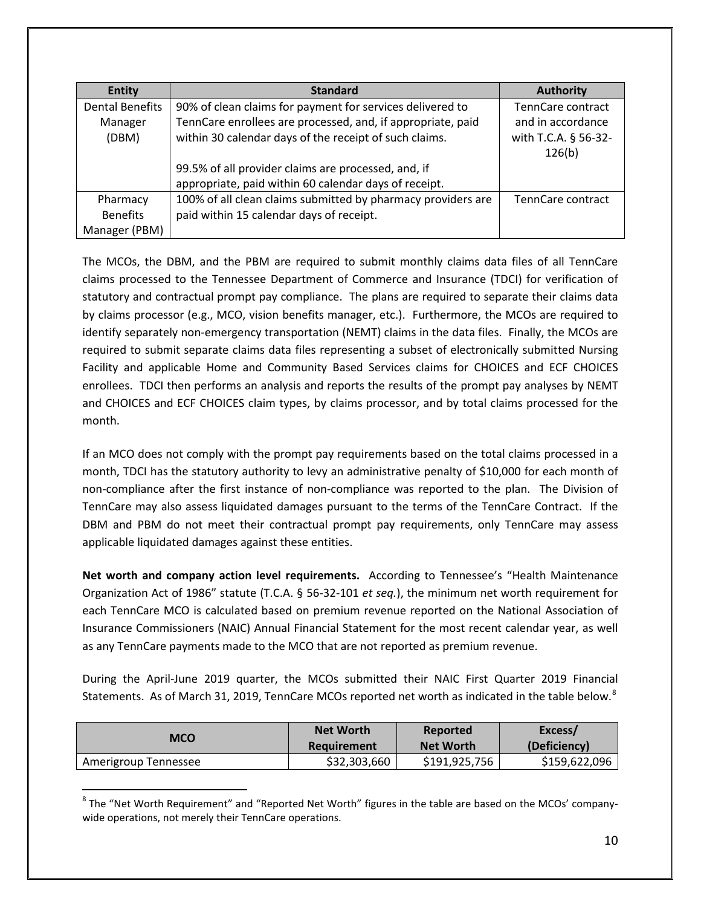| <b>Entity</b>          | <b>Standard</b>                                              | <b>Authority</b>               |
|------------------------|--------------------------------------------------------------|--------------------------------|
| <b>Dental Benefits</b> | 90% of clean claims for payment for services delivered to    | TennCare contract              |
| Manager                | TennCare enrollees are processed, and, if appropriate, paid  | and in accordance              |
| (DBM)                  | within 30 calendar days of the receipt of such claims.       | with T.C.A. § 56-32-<br>126(b) |
|                        | 99.5% of all provider claims are processed, and, if          |                                |
|                        | appropriate, paid within 60 calendar days of receipt.        |                                |
| Pharmacy               | 100% of all clean claims submitted by pharmacy providers are | TennCare contract              |
| <b>Benefits</b>        | paid within 15 calendar days of receipt.                     |                                |
| Manager (PBM)          |                                                              |                                |

The MCOs, the DBM, and the PBM are required to submit monthly claims data files of all TennCare claims processed to the Tennessee Department of Commerce and Insurance (TDCI) for verification of statutory and contractual prompt pay compliance. The plans are required to separate their claims data by claims processor (e.g., MCO, vision benefits manager, etc.). Furthermore, the MCOs are required to identify separately non-emergency transportation (NEMT) claims in the data files. Finally, the MCOs are required to submit separate claims data files representing a subset of electronically submitted Nursing Facility and applicable Home and Community Based Services claims for CHOICES and ECF CHOICES enrollees. TDCI then performs an analysis and reports the results of the prompt pay analyses by NEMT and CHOICES and ECF CHOICES claim types, by claims processor, and by total claims processed for the month.

If an MCO does not comply with the prompt pay requirements based on the total claims processed in a month, TDCI has the statutory authority to levy an administrative penalty of \$10,000 for each month of non-compliance after the first instance of non-compliance was reported to the plan. The Division of TennCare may also assess liquidated damages pursuant to the terms of the TennCare Contract. If the DBM and PBM do not meet their contractual prompt pay requirements, only TennCare may assess applicable liquidated damages against these entities.

**Net worth and company action level requirements.** According to Tennessee's "Health Maintenance Organization Act of 1986" statute (T.C.A. § 56-32-101 *et seq.*), the minimum net worth requirement for each TennCare MCO is calculated based on premium revenue reported on the National Association of Insurance Commissioners (NAIC) Annual Financial Statement for the most recent calendar year, as well as any TennCare payments made to the MCO that are not reported as premium revenue.

During the April-June 2019 quarter, the MCOs submitted their NAIC First Quarter 2019 Financial Statements. As of March 31, 2019, TennCare MCOs reported net worth as indicated in the table below.<sup>[8](#page-9-0)</sup>

| MCO                  | <b>Net Worth</b> | Reported         | Excess/       |
|----------------------|------------------|------------------|---------------|
|                      | Requirement      | <b>Net Worth</b> | (Deficiency)  |
| Amerigroup Tennessee | \$32,303,660     | \$191,925,756    | \$159,622,096 |

<span id="page-9-0"></span><sup>&</sup>lt;sup>8</sup> The "Net Worth Requirement" and "Reported Net Worth" figures in the table are based on the MCOs' companywide operations, not merely their TennCare operations.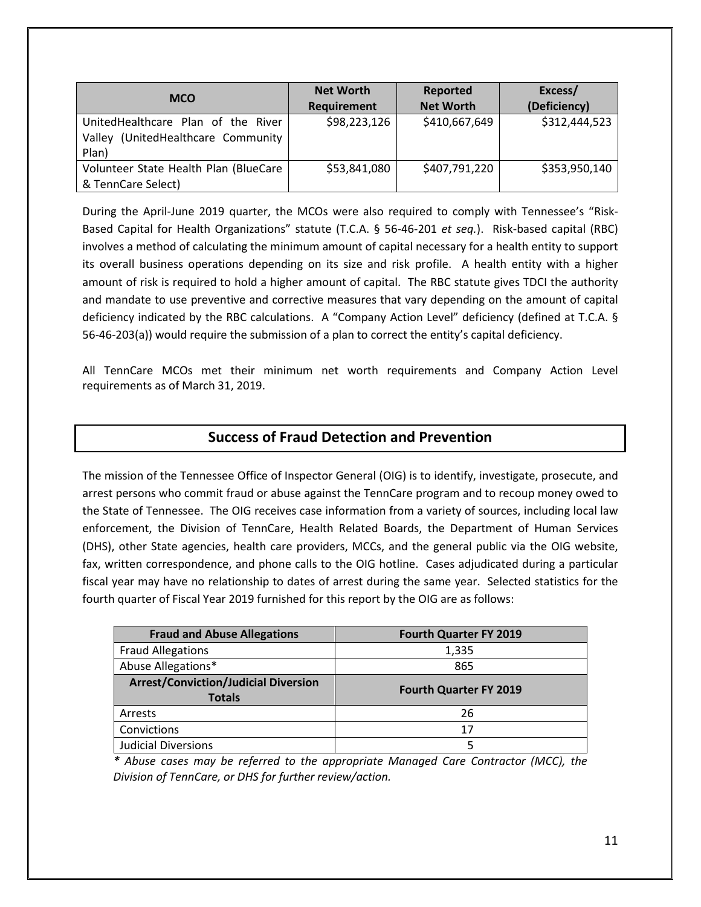| <b>MCO</b>                                                                           | <b>Net Worth</b><br>Requirement | Reported<br><b>Net Worth</b> | Excess/<br>(Deficiency) |
|--------------------------------------------------------------------------------------|---------------------------------|------------------------------|-------------------------|
| UnitedHealthcare Plan of the River<br>(UnitedHealthcare Community<br>Vallev<br>Plan) | \$98,223,126                    | \$410,667,649                | \$312,444,523           |
| Volunteer State Health Plan (BlueCare<br>& TennCare Select)                          | \$53,841,080                    | \$407,791,220                | \$353,950,140           |

During the April-June 2019 quarter, the MCOs were also required to comply with Tennessee's "Risk-Based Capital for Health Organizations" statute (T.C.A. § 56-46-201 *et seq.*). Risk-based capital (RBC) involves a method of calculating the minimum amount of capital necessary for a health entity to support its overall business operations depending on its size and risk profile. A health entity with a higher amount of risk is required to hold a higher amount of capital. The RBC statute gives TDCI the authority and mandate to use preventive and corrective measures that vary depending on the amount of capital deficiency indicated by the RBC calculations. A "Company Action Level" deficiency (defined at T.C.A. § 56-46-203(a)) would require the submission of a plan to correct the entity's capital deficiency.

All TennCare MCOs met their minimum net worth requirements and Company Action Level requirements as of March 31, 2019.

### **Success of Fraud Detection and Prevention**

The mission of the Tennessee Office of Inspector General (OIG) is to identify, investigate, prosecute, and arrest persons who commit fraud or abuse against the TennCare program and to recoup money owed to the State of Tennessee.The OIG receives case information from a variety of sources, including local law enforcement, the Division of TennCare, Health Related Boards, the Department of Human Services (DHS), other State agencies, health care providers, MCCs, and the general public via the OIG website, fax, written correspondence, and phone calls to the OIG hotline. Cases adjudicated during a particular fiscal year may have no relationship to dates of arrest during the same year. Selected statistics for the fourth quarter of Fiscal Year 2019 furnished for this report by the OIG are as follows:

| <b>Fraud and Abuse Allegations</b>                           | <b>Fourth Quarter FY 2019</b> |
|--------------------------------------------------------------|-------------------------------|
| <b>Fraud Allegations</b>                                     | 1,335                         |
| Abuse Allegations*                                           | 865                           |
| <b>Arrest/Conviction/Judicial Diversion</b><br><b>Totals</b> | <b>Fourth Quarter FY 2019</b> |
| Arrests                                                      | 26                            |
| Convictions                                                  | 17                            |
| <b>Judicial Diversions</b>                                   |                               |

*\* Abuse cases may be referred to the appropriate Managed Care Contractor (MCC), the Division of TennCare, or DHS for further review/action.*